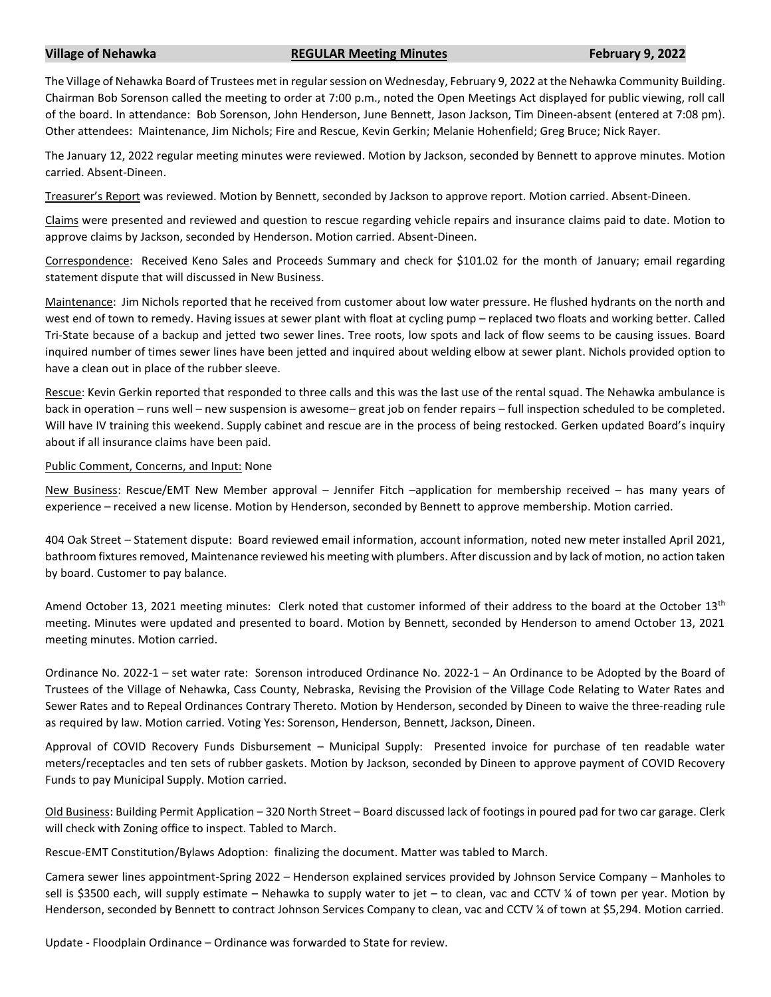## **Village of Nehawka REGULAR Meeting Minutes February 9, 2022**

The Village of Nehawka Board of Trustees met in regular session on Wednesday, February 9, 2022 at the Nehawka Community Building. Chairman Bob Sorenson called the meeting to order at 7:00 p.m., noted the Open Meetings Act displayed for public viewing, roll call of the board. In attendance: Bob Sorenson, John Henderson, June Bennett, Jason Jackson, Tim Dineen-absent (entered at 7:08 pm). Other attendees: Maintenance, Jim Nichols; Fire and Rescue, Kevin Gerkin; Melanie Hohenfield; Greg Bruce; Nick Rayer.

The January 12, 2022 regular meeting minutes were reviewed. Motion by Jackson, seconded by Bennett to approve minutes. Motion carried. Absent-Dineen.

Treasurer's Report was reviewed. Motion by Bennett, seconded by Jackson to approve report. Motion carried. Absent-Dineen.

Claims were presented and reviewed and question to rescue regarding vehicle repairs and insurance claims paid to date. Motion to approve claims by Jackson, seconded by Henderson. Motion carried. Absent-Dineen.

Correspondence: Received Keno Sales and Proceeds Summary and check for \$101.02 for the month of January; email regarding statement dispute that will discussed in New Business.

Maintenance: Jim Nichols reported that he received from customer about low water pressure. He flushed hydrants on the north and west end of town to remedy. Having issues at sewer plant with float at cycling pump – replaced two floats and working better. Called Tri-State because of a backup and jetted two sewer lines. Tree roots, low spots and lack of flow seems to be causing issues. Board inquired number of times sewer lines have been jetted and inquired about welding elbow at sewer plant. Nichols provided option to have a clean out in place of the rubber sleeve.

Rescue: Kevin Gerkin reported that responded to three calls and this was the last use of the rental squad. The Nehawka ambulance is back in operation – runs well – new suspension is awesome– great job on fender repairs – full inspection scheduled to be completed. Will have IV training this weekend. Supply cabinet and rescue are in the process of being restocked. Gerken updated Board's inquiry about if all insurance claims have been paid.

## Public Comment, Concerns, and Input: None

New Business: Rescue/EMT New Member approval – Jennifer Fitch –application for membership received – has many years of experience – received a new license. Motion by Henderson, seconded by Bennett to approve membership. Motion carried.

404 Oak Street – Statement dispute: Board reviewed email information, account information, noted new meter installed April 2021, bathroom fixtures removed, Maintenance reviewed his meeting with plumbers. After discussion and by lack of motion, no action taken by board. Customer to pay balance.

Amend October 13, 2021 meeting minutes: Clerk noted that customer informed of their address to the board at the October 13<sup>th</sup> meeting. Minutes were updated and presented to board. Motion by Bennett, seconded by Henderson to amend October 13, 2021 meeting minutes. Motion carried.

Ordinance No. 2022-1 – set water rate: Sorenson introduced Ordinance No. 2022-1 – An Ordinance to be Adopted by the Board of Trustees of the Village of Nehawka, Cass County, Nebraska, Revising the Provision of the Village Code Relating to Water Rates and Sewer Rates and to Repeal Ordinances Contrary Thereto. Motion by Henderson, seconded by Dineen to waive the three-reading rule as required by law. Motion carried. Voting Yes: Sorenson, Henderson, Bennett, Jackson, Dineen.

Approval of COVID Recovery Funds Disbursement – Municipal Supply: Presented invoice for purchase of ten readable water meters/receptacles and ten sets of rubber gaskets. Motion by Jackson, seconded by Dineen to approve payment of COVID Recovery Funds to pay Municipal Supply. Motion carried.

Old Business: Building Permit Application – 320 North Street – Board discussed lack of footings in poured pad for two car garage. Clerk will check with Zoning office to inspect. Tabled to March.

Rescue-EMT Constitution/Bylaws Adoption: finalizing the document. Matter was tabled to March.

Camera sewer lines appointment-Spring 2022 – Henderson explained services provided by Johnson Service Company – Manholes to sell is \$3500 each, will supply estimate – Nehawka to supply water to jet – to clean, vac and CCTV  $\frac{1}{4}$  of town per year. Motion by Henderson, seconded by Bennett to contract Johnson Services Company to clean, vac and CCTV % of town at \$5,294. Motion carried.

Update - Floodplain Ordinance – Ordinance was forwarded to State for review.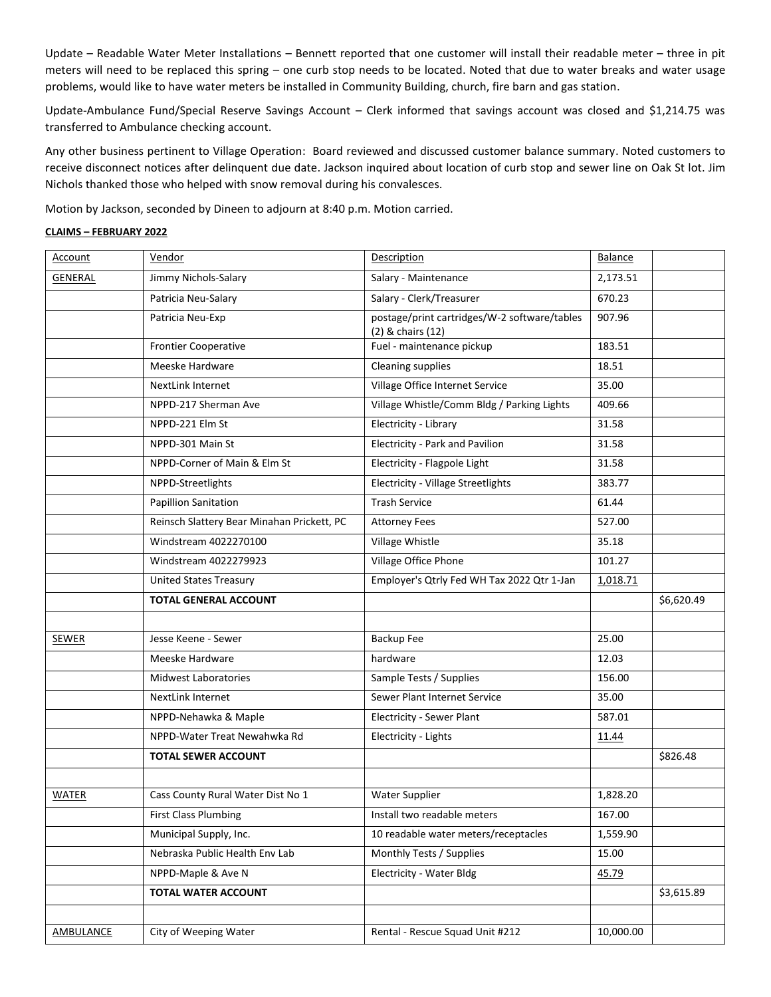Update – Readable Water Meter Installations – Bennett reported that one customer will install their readable meter – three in pit meters will need to be replaced this spring – one curb stop needs to be located. Noted that due to water breaks and water usage problems, would like to have water meters be installed in Community Building, church, fire barn and gas station.

Update-Ambulance Fund/Special Reserve Savings Account – Clerk informed that savings account was closed and \$1,214.75 was transferred to Ambulance checking account.

Any other business pertinent to Village Operation: Board reviewed and discussed customer balance summary. Noted customers to receive disconnect notices after delinquent due date. Jackson inquired about location of curb stop and sewer line on Oak St lot. Jim Nichols thanked those who helped with snow removal during his convalesces.

Motion by Jackson, seconded by Dineen to adjourn at 8:40 p.m. Motion carried.

## **CLAIMS – FEBRUARY 2022**

| Account          | Vendor                                     | Description                                                       | Balance   |            |
|------------------|--------------------------------------------|-------------------------------------------------------------------|-----------|------------|
| <b>GENERAL</b>   | Jimmy Nichols-Salary                       | Salary - Maintenance                                              | 2,173.51  |            |
|                  | Patricia Neu-Salary                        | Salary - Clerk/Treasurer                                          | 670.23    |            |
|                  | Patricia Neu-Exp                           | postage/print cartridges/W-2 software/tables<br>(2) & chairs (12) | 907.96    |            |
|                  | <b>Frontier Cooperative</b>                | Fuel - maintenance pickup                                         | 183.51    |            |
|                  | Meeske Hardware                            | Cleaning supplies                                                 | 18.51     |            |
|                  | NextLink Internet                          | Village Office Internet Service                                   | 35.00     |            |
|                  | NPPD-217 Sherman Ave                       | Village Whistle/Comm Bldg / Parking Lights                        | 409.66    |            |
|                  | NPPD-221 Elm St                            | Electricity - Library                                             | 31.58     |            |
|                  | NPPD-301 Main St                           | Electricity - Park and Pavilion                                   | 31.58     |            |
|                  | NPPD-Corner of Main & Elm St               | Electricity - Flagpole Light                                      | 31.58     |            |
|                  | NPPD-Streetlights                          | Electricity - Village Streetlights                                | 383.77    |            |
|                  | <b>Papillion Sanitation</b>                | <b>Trash Service</b>                                              | 61.44     |            |
|                  | Reinsch Slattery Bear Minahan Prickett, PC | <b>Attorney Fees</b>                                              | 527.00    |            |
|                  | Windstream 4022270100                      | Village Whistle                                                   | 35.18     |            |
|                  | Windstream 4022279923                      | Village Office Phone                                              | 101.27    |            |
|                  | <b>United States Treasury</b>              | Employer's Qtrly Fed WH Tax 2022 Qtr 1-Jan                        | 1,018.71  |            |
|                  | <b>TOTAL GENERAL ACCOUNT</b>               |                                                                   |           | \$6,620.49 |
|                  |                                            |                                                                   |           |            |
| <b>SEWER</b>     | Jesse Keene - Sewer                        | Backup Fee                                                        | 25.00     |            |
|                  | Meeske Hardware                            | hardware                                                          | 12.03     |            |
|                  | <b>Midwest Laboratories</b>                | Sample Tests / Supplies                                           | 156.00    |            |
|                  | <b>NextLink Internet</b>                   | Sewer Plant Internet Service                                      | 35.00     |            |
|                  | NPPD-Nehawka & Maple                       | Electricity - Sewer Plant                                         | 587.01    |            |
|                  | NPPD-Water Treat Newahwka Rd               | Electricity - Lights                                              | 11.44     |            |
|                  | <b>TOTAL SEWER ACCOUNT</b>                 |                                                                   |           | \$826.48   |
|                  |                                            |                                                                   |           |            |
| <b>WATER</b>     | Cass County Rural Water Dist No 1          | Water Supplier                                                    | 1,828.20  |            |
|                  | <b>First Class Plumbing</b>                | Install two readable meters                                       | 167.00    |            |
|                  | Municipal Supply, Inc.                     | 10 readable water meters/receptacles                              | 1,559.90  |            |
|                  | Nebraska Public Health Env Lab             | Monthly Tests / Supplies                                          | 15.00     |            |
|                  | NPPD-Maple & Ave N                         | <b>Electricity - Water Bldg</b>                                   | 45.79     |            |
|                  | TOTAL WATER ACCOUNT                        |                                                                   |           | \$3,615.89 |
|                  |                                            |                                                                   |           |            |
| <b>AMBULANCE</b> | City of Weeping Water                      | Rental - Rescue Squad Unit #212                                   | 10,000.00 |            |